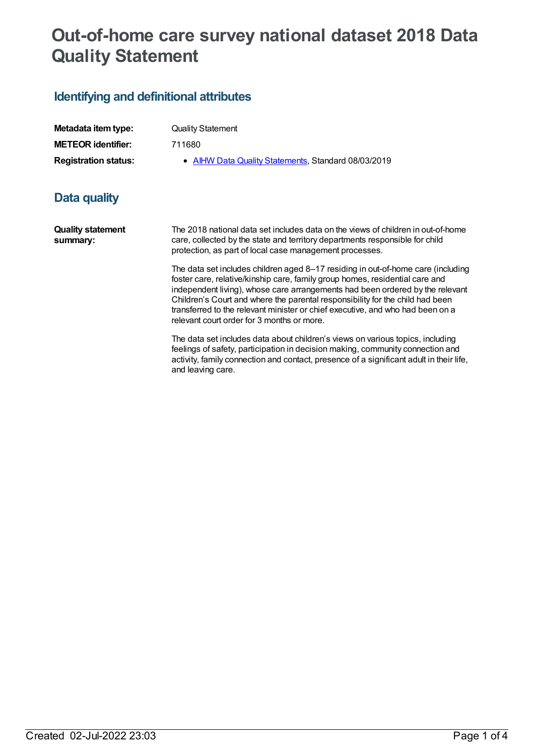## **Out-of-home care survey national dataset 2018 Data Quality Statement**

## **Identifying and definitional attributes**

**Quality statement**

**summary:**

| Metadata item type:         | <b>Quality Statement</b>                            |
|-----------------------------|-----------------------------------------------------|
| <b>METEOR identifier:</b>   | 711680                                              |
| <b>Registration status:</b> | • AIHW Data Quality Statements, Standard 08/03/2019 |
| Data quality                |                                                     |

The 2018 national data set includes data on the views of children in out-of-home care, collected by the state and territory departments responsible for child protection, as part of local case management processes.

> The data set includes children aged 8–17 residing in out-of-home care (including foster care, relative/kinship care, family group homes, residential care and independent living), whose care arrangements had been ordered by the relevant Children's Court and where the parental responsibility for the child had been transferred to the relevant minister or chief executive, and who had been on a relevant court order for 3 months or more.

> The data set includes data about children's views on various topics, including feelings of safety, participation in decision making, community connection and activity, family connection and contact, presence of a significant adult in their life, and leaving care.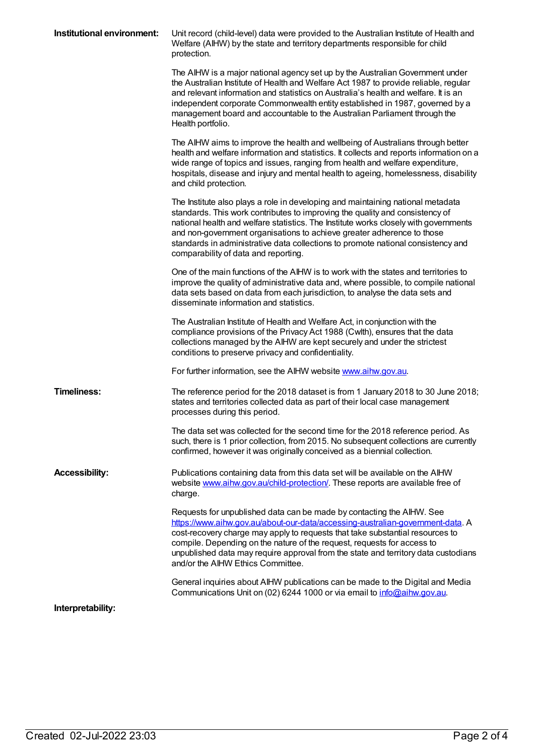| Institutional environment: | Unit record (child-level) data were provided to the Australian Institute of Health and<br>Welfare (AIHW) by the state and territory departments responsible for child<br>protection.                                                                                                                                                                                                                                                                          |
|----------------------------|---------------------------------------------------------------------------------------------------------------------------------------------------------------------------------------------------------------------------------------------------------------------------------------------------------------------------------------------------------------------------------------------------------------------------------------------------------------|
|                            | The AIHW is a major national agency set up by the Australian Government under<br>the Australian Institute of Health and Welfare Act 1987 to provide reliable, regular<br>and relevant information and statistics on Australia's health and welfare. It is an<br>independent corporate Commonwealth entity established in 1987, governed by a<br>management board and accountable to the Australian Parliament through the<br>Health portfolio.                |
|                            | The AIHW aims to improve the health and wellbeing of Australians through better<br>health and welfare information and statistics. It collects and reports information on a<br>wide range of topics and issues, ranging from health and welfare expenditure,<br>hospitals, disease and injury and mental health to ageing, homelessness, disability<br>and child protection.                                                                                   |
|                            | The Institute also plays a role in developing and maintaining national metadata<br>standards. This work contributes to improving the quality and consistency of<br>national health and welfare statistics. The Institute works closely with governments<br>and non-government organisations to achieve greater adherence to those<br>standards in administrative data collections to promote national consistency and<br>comparability of data and reporting. |
|                            | One of the main functions of the AIHW is to work with the states and territories to<br>improve the quality of administrative data and, where possible, to compile national<br>data sets based on data from each jurisdiction, to analyse the data sets and<br>disseminate information and statistics.                                                                                                                                                         |
|                            | The Australian Institute of Health and Welfare Act, in conjunction with the<br>compliance provisions of the Privacy Act 1988 (Cwlth), ensures that the data<br>collections managed by the AIHW are kept securely and under the strictest<br>conditions to preserve privacy and confidentiality.                                                                                                                                                               |
|                            | For further information, see the AIHW website www.aihw.gov.au.                                                                                                                                                                                                                                                                                                                                                                                                |
| <b>Timeliness:</b>         | The reference period for the 2018 dataset is from 1 January 2018 to 30 June 2018;<br>states and territories collected data as part of their local case management<br>processes during this period.                                                                                                                                                                                                                                                            |
|                            | The data set was collected for the second time for the 2018 reference period. As<br>such, there is 1 prior collection, from 2015. No subsequent collections are currently<br>confirmed, however it was originally conceived as a biennial collection.                                                                                                                                                                                                         |
| <b>Accessibility:</b>      | Publications containing data from this data set will be available on the AIHW<br>website www.aihw.gov.au/child-protection/. These reports are available free of<br>charge.                                                                                                                                                                                                                                                                                    |
|                            | Requests for unpublished data can be made by contacting the AIHW. See<br>https://www.aihw.gov.au/about-our-data/accessing-australian-government-data. A<br>cost-recovery charge may apply to requests that take substantial resources to<br>compile. Depending on the nature of the request, requests for access to<br>unpublished data may require approval from the state and territory data custodians<br>and/or the AIHW Ethics Committee.                |
|                            | General inquiries about AIHW publications can be made to the Digital and Media<br>Communications Unit on (02) 6244 1000 or via email to info@aihw.gov.au.                                                                                                                                                                                                                                                                                                     |
| Interpretability:          |                                                                                                                                                                                                                                                                                                                                                                                                                                                               |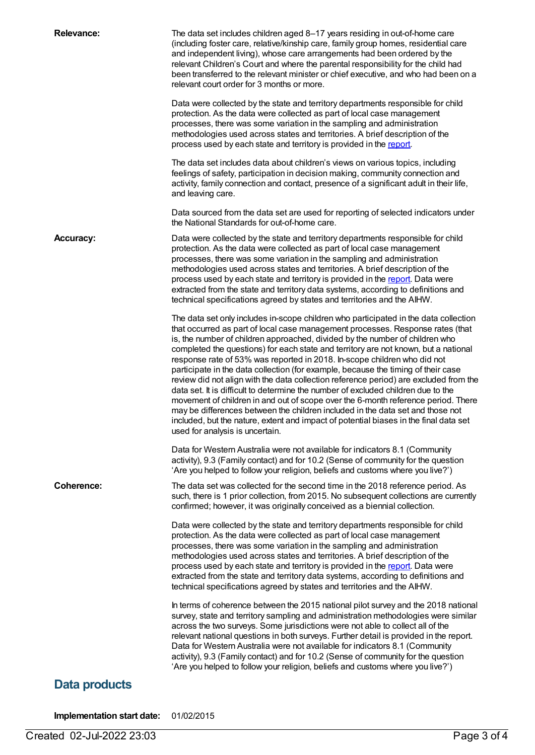| <b>Relevance:</b> | The data set includes children aged 8-17 years residing in out-of-home care<br>(including foster care, relative/kinship care, family group homes, residential care<br>and independent living), whose care arrangements had been ordered by the<br>relevant Children's Court and where the parental responsibility for the child had<br>been transferred to the relevant minister or chief executive, and who had been on a<br>relevant court order for 3 months or more.<br>Data were collected by the state and territory departments responsible for child                                                                                                                                                                                                                                                                                                                                                                                                                                                                                                                   |
|-------------------|--------------------------------------------------------------------------------------------------------------------------------------------------------------------------------------------------------------------------------------------------------------------------------------------------------------------------------------------------------------------------------------------------------------------------------------------------------------------------------------------------------------------------------------------------------------------------------------------------------------------------------------------------------------------------------------------------------------------------------------------------------------------------------------------------------------------------------------------------------------------------------------------------------------------------------------------------------------------------------------------------------------------------------------------------------------------------------|
|                   | protection. As the data were collected as part of local case management<br>processes, there was some variation in the sampling and administration<br>methodologies used across states and territories. A brief description of the<br>process used by each state and territory is provided in the report.                                                                                                                                                                                                                                                                                                                                                                                                                                                                                                                                                                                                                                                                                                                                                                       |
|                   | The data set includes data about children's views on various topics, including<br>feelings of safety, participation in decision making, community connection and<br>activity, family connection and contact, presence of a significant adult in their life,<br>and leaving care.                                                                                                                                                                                                                                                                                                                                                                                                                                                                                                                                                                                                                                                                                                                                                                                               |
|                   | Data sourced from the data set are used for reporting of selected indicators under<br>the National Standards for out-of-home care.                                                                                                                                                                                                                                                                                                                                                                                                                                                                                                                                                                                                                                                                                                                                                                                                                                                                                                                                             |
| <b>Accuracy:</b>  | Data were collected by the state and territory departments responsible for child<br>protection. As the data were collected as part of local case management<br>processes, there was some variation in the sampling and administration<br>methodologies used across states and territories. A brief description of the<br>process used by each state and territory is provided in the report. Data were<br>extracted from the state and territory data systems, according to definitions and<br>technical specifications agreed by states and territories and the AIHW.                                                                                                                                                                                                                                                                                                                                                                                                                                                                                                         |
|                   | The data set only includes in-scope children who participated in the data collection<br>that occurred as part of local case management processes. Response rates (that<br>is, the number of children approached, divided by the number of children who<br>completed the questions) for each state and territory are not known, but a national<br>response rate of 53% was reported in 2018. In-scope children who did not<br>participate in the data collection (for example, because the timing of their case<br>review did not align with the data collection reference period) are excluded from the<br>data set. It is difficult to determine the number of excluded children due to the<br>movement of children in and out of scope over the 6-month reference period. There<br>may be differences between the children included in the data set and those not<br>included, but the nature, extent and impact of potential biases in the final data set<br>used for analysis is uncertain.<br>Data for Western Australia were not available for indicators 8.1 (Community |
|                   | activity), 9.3 (Family contact) and for 10.2 (Sense of community for the question<br>'Are you helped to follow your religion, beliefs and customs where you live?')                                                                                                                                                                                                                                                                                                                                                                                                                                                                                                                                                                                                                                                                                                                                                                                                                                                                                                            |
| Coherence:        | The data set was collected for the second time in the 2018 reference period. As<br>such, there is 1 prior collection, from 2015. No subsequent collections are currently<br>confirmed; however, it was originally conceived as a biennial collection.                                                                                                                                                                                                                                                                                                                                                                                                                                                                                                                                                                                                                                                                                                                                                                                                                          |
|                   | Data were collected by the state and territory departments responsible for child<br>protection. As the data were collected as part of local case management<br>processes, there was some variation in the sampling and administration<br>methodologies used across states and territories. A brief description of the<br>process used by each state and territory is provided in the report. Data were<br>extracted from the state and territory data systems, according to definitions and<br>technical specifications agreed by states and territories and the AIHW.                                                                                                                                                                                                                                                                                                                                                                                                                                                                                                         |
|                   | In terms of coherence between the 2015 national pilot survey and the 2018 national<br>survey, state and territory sampling and administration methodologies were similar<br>across the two surveys. Some jurisdictions were not able to collect all of the<br>relevant national questions in both surveys. Further detail is provided in the report.<br>Data for Western Australia were not available for indicators 8.1 (Community<br>activity), 9.3 (Family contact) and for 10.2 (Sense of community for the question<br>'Are you helped to follow your religion, beliefs and customs where you live?')                                                                                                                                                                                                                                                                                                                                                                                                                                                                     |
| Data products     |                                                                                                                                                                                                                                                                                                                                                                                                                                                                                                                                                                                                                                                                                                                                                                                                                                                                                                                                                                                                                                                                                |

**Implementation start date:** 01/02/2015